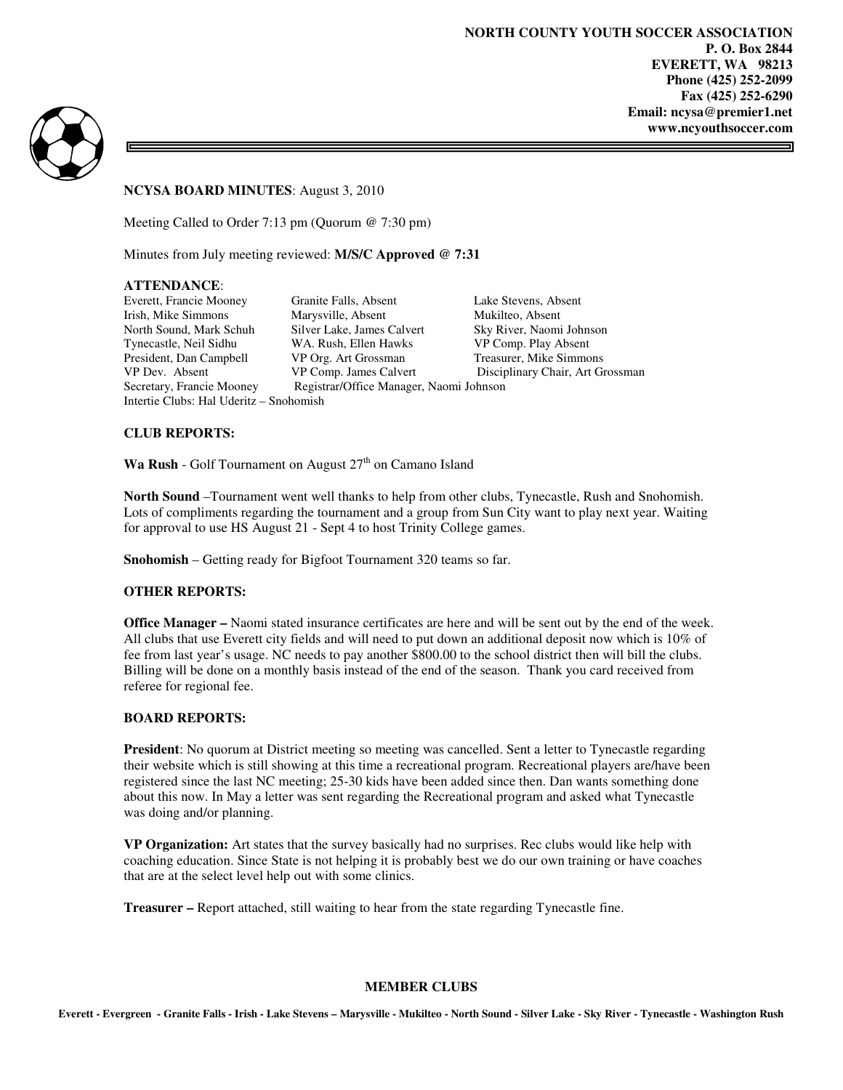3



**NCYSA BOARD MINUTES**: August 3, 2010

Meeting Called to Order 7:13 pm (Quorum @ 7:30 pm)

Minutes from July meeting reviewed: **M/S/C Approved @ 7:31** 

## **ATTENDANCE**:

Intertie Clubs: Hal Uderitz – Snohomish

Everett, Francie Mooney Granite Falls, Absent Lake Stevens, Absent Irish, Mike Simmons Marysville, Absent Mukilteo, Absent North Sound, Mark Schuh Silver Lake, James Calvert Sky River, Naomi Johnson Tynecastle, Neil Sidhu WA. Rush, Ellen Hawks VP Comp. Play Absent President, Dan Campbell VP Org. Art Grossman Treasurer, Mike Simmons<br>
VP Org. Art Grossman VP Comp. James Calvert Disciplinary Chair, Art Grossman VP Dev. Absent VP Comp. James Calvert Disciplinary Chair, Art Grossman<br>Secretary, Francie Mooney Registrar/Office Manager, Naomi Johnson Registrar/Office Manager, Naomi Johnson

## **CLUB REPORTS:**

**Wa Rush** - Golf Tournament on August  $27<sup>th</sup>$  on Camano Island

**North Sound** –Tournament went well thanks to help from other clubs, Tynecastle, Rush and Snohomish. Lots of compliments regarding the tournament and a group from Sun City want to play next year. Waiting for approval to use HS August 21 - Sept 4 to host Trinity College games.

**Snohomish** – Getting ready for Bigfoot Tournament 320 teams so far.

## **OTHER REPORTS:**

**Office Manager –** Naomi stated insurance certificates are here and will be sent out by the end of the week. All clubs that use Everett city fields and will need to put down an additional deposit now which is 10% of fee from last year's usage. NC needs to pay another \$800.00 to the school district then will bill the clubs. Billing will be done on a monthly basis instead of the end of the season. Thank you card received from referee for regional fee.

## **BOARD REPORTS:**

**President**: No quorum at District meeting so meeting was cancelled. Sent a letter to Tynecastle regarding their website which is still showing at this time a recreational program. Recreational players are/have been registered since the last NC meeting; 25-30 kids have been added since then. Dan wants something done about this now. In May a letter was sent regarding the Recreational program and asked what Tynecastle was doing and/or planning.

**VP Organization:** Art states that the survey basically had no surprises. Rec clubs would like help with coaching education. Since State is not helping it is probably best we do our own training or have coaches that are at the select level help out with some clinics.

**Treasurer –** Report attached, still waiting to hear from the state regarding Tynecastle fine.

#### **MEMBER CLUBS**

**Everett - Evergreen - Granite Falls - Irish - Lake Stevens – Marysville - Mukilteo - North Sound - Silver Lake - Sky River - Tynecastle - Washington Rush**